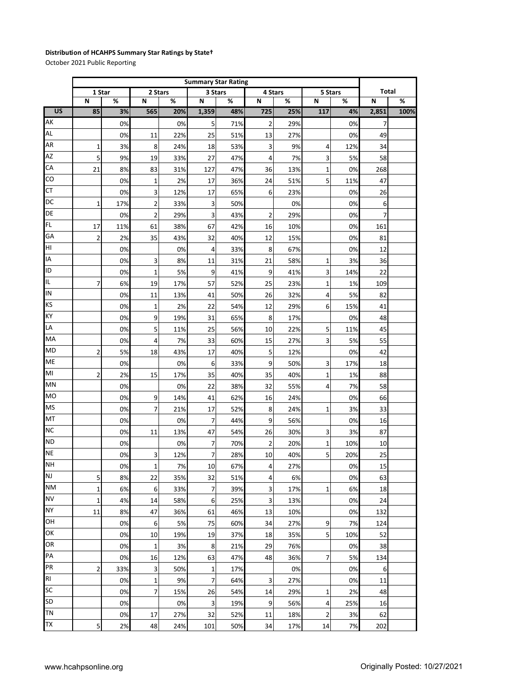## **Distribution of HCAHPS Summary Star Ratings by State†**

October 2021 Public Reporting

|                 |                | <b>Summary Star Rating</b> |                         |      |         |     |                  |     |                |     |       |      |
|-----------------|----------------|----------------------------|-------------------------|------|---------|-----|------------------|-----|----------------|-----|-------|------|
|                 | 1 Star         |                            | 2 Stars                 |      | 3 Stars |     | 4 Stars          |     | 5 Stars        |     | Total |      |
|                 | N              | %                          | N                       | $\%$ | N       | %   | N                | %   | N              | %   | N     | $\%$ |
| $\overline{US}$ | 85             | 3%                         | 565                     | 20%  | 1,359   | 48% | 725              | 25% | 117            | 4%  | 2,851 | 100% |
| AK              |                | 0%                         |                         | 0%   | 5       | 71% | $\overline{2}$   | 29% |                | 0%  | 7     |      |
| AL              |                | 0%                         | 11                      | 22%  | 25      | 51% | 13               | 27% |                | 0%  | 49    |      |
| AR              | 1              | 3%                         | 8                       | 24%  | 18      | 53% | 3                | 9%  | 4              | 12% | 34    |      |
| AZ              | 5              | 9%                         | 19                      | 33%  | 27      | 47% | 4                | 7%  | 3              | 5%  | 58    |      |
| CA              | 21             | 8%                         | 83                      | 31%  | 127     | 47% | 36               | 13% | $\mathbf 1$    | 0%  | 268   |      |
| CO              |                | 0%                         | $\mathbf 1$             | 2%   | 17      | 36% | 24               | 51% | 5              | 11% | 47    |      |
| СT              |                | 0%                         | 3                       | 12%  | 17      | 65% | 6                | 23% |                | 0%  | 26    |      |
| DC              | 1              | 17%                        | 2                       | 33%  | 3       | 50% |                  | 0%  |                | 0%  | 6     |      |
| DE              |                | 0%                         | $\overline{\mathbf{c}}$ | 29%  | 3       | 43% | $\overline{2}$   | 29% |                | 0%  | 7     |      |
| <b>FL</b>       | 17             | 11%                        | 61                      | 38%  | 67      | 42% | 16               | 10% |                | 0%  | 161   |      |
| GA              | $\overline{2}$ | 2%                         | 35                      | 43%  | 32      | 40% | 12               | 15% |                | 0%  | 81    |      |
| HI              |                | 0%                         |                         | 0%   | 4       | 33% | 8                | 67% |                | 0%  | 12    |      |
| ΙA              |                | 0%                         | 3                       | 8%   | 11      | 31% | 21               | 58% | 1              | 3%  | 36    |      |
| ID              |                | 0%                         | 1                       | 5%   | 9       | 41% | 9                | 41% | 3              | 14% | 22    |      |
| IL.             | $\overline{7}$ | 6%                         | 19                      | 17%  | 57      | 52% | 25               | 23% | $\mathbf 1$    | 1%  | 109   |      |
| IN              |                | 0%                         | 11                      | 13%  | 41      | 50% | 26               | 32% | 4              | 5%  | 82    |      |
| <b>KS</b>       |                | 0%                         | 1                       | 2%   | 22      | 54% | 12               | 29% | 6              | 15% | 41    |      |
| КY              |                | 0%                         | 9                       | 19%  | 31      | 65% | 8                | 17% |                | 0%  | 48    |      |
| LA              |                | 0%                         | 5                       | 11%  | 25      | 56% | 10               | 22% | 5              | 11% | 45    |      |
| MA              |                | 0%                         | 4                       | 7%   | 33      | 60% | 15               | 27% | 3              | 5%  | 55    |      |
| <b>MD</b>       | $\overline{2}$ | 5%                         | 18                      | 43%  | 17      | 40% | 5                | 12% |                | 0%  | 42    |      |
| ME              |                | 0%                         |                         | 0%   | 6       | 33% | 9                | 50% | 3              | 17% | 18    |      |
| MI              | $\overline{2}$ | 2%                         | 15                      | 17%  | 35      | 40% | 35               | 40% | 1              | 1%  | 88    |      |
| MN              |                | 0%                         |                         | 0%   | 22      | 38% | 32               | 55% | $\overline{4}$ | 7%  | 58    |      |
| МO              |                | 0%                         | 9                       | 14%  | 41      | 62% | 16               | 24% |                | 0%  | 66    |      |
| <b>MS</b>       |                | 0%                         | 7                       | 21%  | 17      | 52% | 8                | 24% | 1              | 3%  | 33    |      |
| MT              |                | 0%                         |                         | 0%   | 7       | 44% | 9                | 56% |                | 0%  | 16    |      |
| <b>NC</b>       |                | 0%                         | 11                      | 13%  | 47      | 54% | 26               | 30% | 3              | 3%  | 87    |      |
| <b>ND</b>       |                | 0%                         |                         | 0%   | 7       | 70% | $\overline{2}$   | 20% | 1              | 10% | 10    |      |
| <b>NE</b>       |                | 0%                         | 3                       | 12%  | 7       | 28% | 10               | 40% | 5              | 20% | 25    |      |
| <b>NH</b>       |                | 0%                         | $\mathbf{1}$            | 7%   | $10\,$  | 67% | 4                | 27% |                | 0%  | 15    |      |
| <b>NJ</b>       | 5              | 8%                         | 22                      | 35%  | 32      | 51% | $\overline{4}$   | 6%  |                | 0%  | 63    |      |
| <b>NM</b>       | $\overline{1}$ | 6%                         | 6                       | 33%  | 7       | 39% | $\mathbf{3}$     | 17% | $\mathbf{1}$   | 6%  | 18    |      |
| <b>NV</b>       | $\mathbf{1}$   | 4%                         | 14                      | 58%  | 6       | 25% | 3                | 13% |                | 0%  | 24    |      |
| <b>NY</b>       | 11             | 8%                         | 47                      | 36%  | 61      | 46% | 13               | 10% |                | 0%  | 132   |      |
| OH              |                | 0%                         | 6                       | 5%   | 75      | 60% | 34               | 27% | 9              | 7%  | 124   |      |
| OK              |                | 0%                         | 10                      | 19%  | 19      | 37% | 18               | 35% | 5              | 10% | 52    |      |
| OR              |                | 0%                         | $\mathbf 1$             | 3%   | 8       | 21% | 29               | 76% |                | 0%  | 38    |      |
| PA              |                | 0%                         | 16                      | 12%  | 63      | 47% | 48               | 36% | 7              | 5%  | 134   |      |
| PR              | $\overline{2}$ | 33%                        | 3                       | 50%  | 1       | 17% |                  | 0%  |                | 0%  | 6     |      |
| R <sub>l</sub>  |                | 0%                         | $\mathbf 1$             | 9%   | 7       | 64% | 3                | 27% |                | 0%  | 11    |      |
| <b>SC</b>       |                | 0%                         | 7                       | 15%  | 26      | 54% | 14               | 29% | $\mathbf 1$    | 2%  | 48    |      |
| <b>SD</b>       |                | 0%                         |                         | 0%   | 3       | 19% | $\boldsymbol{9}$ | 56% | $\overline{a}$ | 25% | 16    |      |
| <b>TN</b>       |                | 0%                         | 17                      | 27%  | 32      | 52% | 11               | 18% | $\overline{2}$ | 3%  | 62    |      |
| <b>TX</b>       | 5              | 2%                         | 48                      | 24%  | 101     | 50% | 34               | 17% | 14             | 7%  | 202   |      |